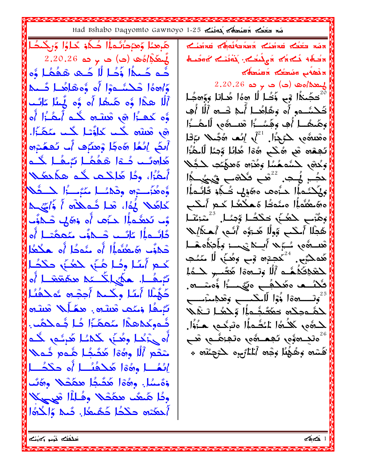## Had Bshabo Daqyomto Gawnoyo 1-25 المُعْلَم بَعْضُهِ 5-1

هَرمنا وَمرَدَتُداً حُـكَٰوْ كَـاوُا وَرِجْـحُــ  $2.20.26$  مَعْمَ $\delta$ أَهْها (ح) ها م ده حُـه حُــٰماً زَحُـا لَٰا حَـٰهِ هَـٰفُـا وُه وَّاهِهَا شَكْسُووْا أَو وُوْهَاهُمَا شَـْبِهِ ٱلْلَّا هِذَا وَّه هَٰنِعُا أَه وَّه لَّكِناً عَانَـُت وُّه كَعَـزُا ۞ مْسْـُرَ كُـمَ أَبْعُـزُا أَه ق مْسْه كُب كَلْأَسْل كُب مَكَّزًا. آَىضَ إِنْعُا هَٰوَجًا وَهِنَّإِهِ أَبَّ نَهِعُتِهِمْ هَاهتُــد دُــةَ ا هْـفُهُــا تَرْحُــا كُــم أَحْزًا، ودُا هَا كما كه هكَمْعَكَلا وُهِ هُذَا وَهُمْ اللَّهُ اللَّهُ مِنْ الْمَسْرَدُ الْمَسْتُرَاتِ الْمَسْتُمَاتِ كَاهَلا لَهُا، قبا شُملاًه أَ ذَاتِي A وًّت تَكْتُبُداً لِمَدَّى أَنْ وَالَّكِي ضَلَاوَّت دَٰائُے اُل کائے۔ شہوْ۔ منعمُتا اُہ تْجِرْفُ وَمَعْنُوَلُمْ أَو مُحَدًّل أَو حَكْعُل كُدِم أَسًا ودُا هُنِّي كَعُنَّي حَكْدًا سَّرِفُ). حَدَّىٰ اللَّهُ عَدْ مَدَّقَقَةَ أَنَّهُ كَهُمْلَا أَمَّا وكُمِّه أُجِبُّو شَكْفُهُ تَرْجُلُ وَمِنُكَ هُلِنُدُهُ . مَعْلَمُلا هُلِنُدُه ثُـوكَـٰهِ هِذَا مُعَمَّزُا ثُـا ثُـوحَكُب. أَه حِبْكُمْ وَهُنَّى كَلّْمُهُا هُدِئُمٍ كُمَّ مْقُعِ ٱللَّا وِرَهُمْ الْحَمْجُـلِ هُـ2م فُـ2⁄2 انُمُّـا وَوَٰٓةَا مَكْحُبُّـا أَو حَكْجُــا وَدَّسْلَ. وَرَّدَّا هُشَيُّلْ مِثْقَلاً وَرَّكَتْ ودُا هُيعُب مِعَصْلا وقُلْمَا شَهِيهَا أَحْقَدَه حَكْدًا خَصَّعْدًا. ثَمِّهُ وَالْحُدُّا

بكشاءت بالمواقعانية بكثاءة بكثع مناء للمعاملا المشامل المحاملي المحاملة المحامل  $2.20.26$  ص م حد $\sim$  / محلا $\sim$  / محلا $\sim$ أَحْجَىٰذًا فِي ذُخُـا لَّا هِءًا هُـابْنَا وَوَهِجُـا تَكَنْسُمُو أَه وَهَٰاهُمَا أَيْمِ خَسْرَةَ أَلَّا أُهِي وهَيضًا أُفٍ وَفَيِّسُوا هُنْ وَهُ الْمَشْوَاءِ وَمَنْ الْمَنْ وَالْمَنْ تَجْهُرُهُ هُي رُهِكُمْ رَهُوْا هُلْلًا وَجِبًا لَّاحَقُوْا وَكْتُمْ كَشَمْهُمَا وَهُنْتُهُ هَعَهُكُمْ كَجُلًا لَهُـــِ هُـِــَ رَحْمَــِ فَكُلُّهَــِ فَكِمِيكِــِمَّا وَيُكْتُمَلًّا حَـزُّەھ دەَّوْلِي تُــكِّوْ قُالَـُـمِلَّا ەھَىعْتَماْ مىشەخُا مَىمْكْعَا كىم آىكىم وهُنب لِمَعْــَىٰ حَكْشُــا وَّحِــُـا.  $^{23}$ عْنِــُـا كَجِبْلَا أَمِكْبٍ وَُوِلًا هَٰــٰٓوَّه أَنَـٰهِ أَحَـٰكَمِلِيلا هْسِــوْهِ کَــِمَ الْمِــٰدَیْـِـــز وِلَمِحْدُه هَــا<br>هُدکیْجِ. <sup>24</sup>کچیْرت وْب وهُــنَ لْل مَنْـب لمَعْلِمَكْلُهُــهِ ٱلْمُ وَتَـــهِ ۚ أَوْ لَــهُمْ لِلْــهُمْ ثَلْلُــم مَلَــفُــم مَنِّـــةُ أَوْمِنْـــدَّ. <sup>25</sup>وْتَـــــــــوە أُوَّا لِّلْمَــْـــــــــى وَهْجَمْسْنُوـــــــى لحَفَّــمحِكْم حَمَّضَجُّــملَّا وَحَمَّــا تَــٰهُــلا لِحْدَةُو، كَلَّكُمَّا عَلَيْشُوبُوا وشَرِيْحُو، هَـزُوُّا. مَامَعْ مِسْتَمْتِينَ مِنْ مِنْ مِنْ مِنْ مِنْ مِنْ  $^{26}$ َفَسْهِ وَهُكُلُا وَجْهِ ٱلْمُلَأَبِينَ كَتَرَجِئْنَهُ \*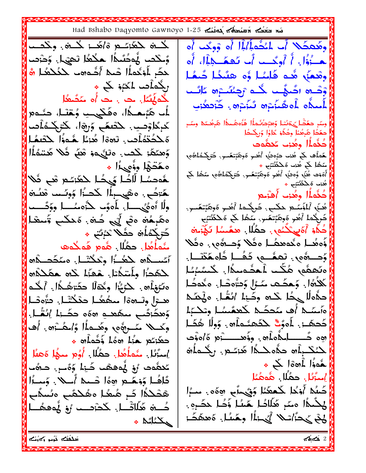Had Bshabo Daqyomto Gawnoyo 1-25 المُنْكَم 1-25 Ashabo Daqyomto Gawnoyo وهُعَكُلاً أَبِ الْمُخْمِلَالَهِ! أَه وَوِيْبِ أَه كُمْ لِمَعْنِسُمْ وْالْهَمْ لْمَسْتَرْ وَكَمْسَمْ وً كَتَبَ أَوْ دُنُوا الْمَحْكَمُ الْتَّقِيمِ الْمَوْتَوْتِ هِيَّزُل: أَ أُوجَّب أَبِّ تَحِمَّجِيْلَ أَه حَصٍّ لَمُؤَكِّد*َأَ*ا شَيْءً أَضُّوهِ بِالْخُلَامُ اللَّهُ وقَعِيَّةٍ هُدَ فَاسْلُ وُهِ هِنْدُا شُهْل بِكَمْلُف لَمَكَبَوْ كَبْ \* أَوْشَدُهُ اشْنُهُسَا لَكُنْ رُجِئْنُنْ إِنَّ عَالَيْتَ لْحُمْلُمُكُلِّ. ت أن تَمَدَّمُوا لمُسلُّه لمُعَظُّرُه شُہُرُه کُرْدِهُ الْمُحَمَّنِ لَمْتِ هَبُنِهِكُلْ، وَفَكَيْتِ وُهْتَبْلَ، حَتَّدَمِ ومَّرٍ حَمَّتْهِ يَحْتَمَلُ وَهَرَجَاتُمَاْ! فُنُوهُما الْمَرْهُمَا وَمَّرِ كَبِكَاوْصِي كَتَعَمَّع وُرَوْهَ كَتَوَكَّــدُاْصــ حمَّحُا هَرِهُمْاً وحُكَّوْ كَاوُا وَرِكْحُا مُحْدُمُهُمُومٍ. ثَ90\$ هُزْمُ هُوَوُ احْتَفَهُا حُثْمَلُّا وهُن مُحْقُوب وَهنكُمْ لَكُتْ. وَلَيْكُوهُ هُكُمْ فُلا هُنتَهُ أَ هَٰهاُه کُمْ هُنِد دَّءِدُبُ ٱهْــو هُوهَّبَتعُــو. ضَرَكْـهُاهُمِ ه الْمِرَهُ، إِنَّمَا \* مَمْل کَے هُنا هَ کَفَتَتَنِے \* أَةَوْتَ هَٰٓئَةٍ وُءَتَٰيَّةٍ أَهْدٍ ةَوَهَّيَّتَعُسٍ. كَتَرَكْتُمُلُّهُمْ سَّعُلٍ كَبَّ هُوصُا لَامًا هَيحُا حَعَنِهُ هُو مَنْ أَشْرَاءَ مِنْ هُن، ەَ حَكَّتَبْ \* هُنزهُـــ و هيجـــراً الكحـــُزا وُوئــــــــ هْنُـــره حُثُماُ! وهُنِ أُهْنُتُمْ وِلًا أَدِيُّ —ا. لَمُدَوَّب كَيْدِسُط ووَّضَّـــد هُنَّىٰ ٱلمُؤْسِّمِ حَكَّبٍ. كَرِيْكُما ٱهْبِ هُوهَّيِّتِهُبِ. صَٰحَما أَهُرٍ هُوهَّئِتمَرٍ. مَعْمَا ﴾ هَكَفَّتَبِي هِمُبِمُهُ وَفِى إِلَى صُهْدِ وَمَعْكُمٍ وَمُعْقَدًا حُكُمْ أَهَا يَكْسُو . حَمُّلًا . مَعْصَسًا تَكْتَرْوَهُ كَرْبِكُ*مُأَ*هْ حَثَلاً <sup>ك</sup>َرُتُمْ \* ؤُوهُــا وَخُوهِـصَـا وَثَلا وُصِــوُّى وَ وَثَلا مثَملُهُ**ل.** حمُلًا. هُوم فَوكُوها وَحِـــوهُم، نَعمُـــم، دَهُـــا دُاهمُحَنَـــا. أئسكُم لهُدُّا وْكَكْتْما. مْمَكْصَلَاه ەئھقە مُتَّب لْمشَمسكَّا. ݣْسْبْنُا لحَقَدُا ولَمْتَمُثَلِ. هَجَدُ كَلَّهُ هَقَلَمُهُ لْحَدُّهُا. وَحَصَّصَ سَّعُلَ وَحَتَّوَصًّا. وَكُوصًا وتَوَوْلُهِ . حَرَّبُوْا وِكْتَوْلَا حَضَرْهُــدًا . أَبْكُــد حَدْهِ الْمَحْمَلِ هُ عَلَيْهِ مِكْمَ الْحَرْمَا الْمَحْمَدِ الْعَلَيْمِ مِنْ الْعَلَيْمِ هـْرَا وِتْـ169 معفُعُــا حَكْتْـا. دَّوْدْـا وأسئلها أف سُحكته للحقساء وتكبِّط وَهدَٰزَمَــــ معكَّــدِ 200 حصَّــٰ; { إِنُغُّــاً. كَحِكَـز. لِمُوَيَّةٌ لِكَعْصُدُواْتُ وَوِلًّا هُكَـا وكملا سُمويُّوم وهُماًا وَّامطُهُ». أُف ٥٥ كُــــــامِدُه أو وذُهــــــــ وَو း ရော်မြန်နဲ့ မြစ်ရာ မြန်နေ ကြည်နယ် لْمُنْكَسِلُهِ حَقُّوكُما هَٰزَسُمِ. رَجُّـولُهُ إِسْرَٰىٰلَ. مِنْعِلُطُل. حِظُلًا. أُوُم مِنظُل وَعِبُل وَا هُدُوا الْعَامَة اللَّهُ \* مُحَمَّدتُ مُ فَيَّدَهُمْ حَيْطُ وَذَّسِ حَدَّثَت أَأَ ٱسْزَيْلِ. حَمْلًا. هُومُنْا ثَاقُـا وُذِهَـٰـٰهِ só آَـَـٰـٰهِ أَسَـٰلاً . وَمَسْأَا ضَلَا أَوْحًا لَحْمَعَنَا وَفَيْحَلَّهِ وَهَمَّ مَنَا ھَتَّكْدًا ضَرِ مُسْلَ ەھُكْمَى ەنسْلَى لِحِذْهُ! مِمَّ هَٰلَاتُ! هَٰنُا ذَٰذًا حَضَرِهِ . كُـــة هَٰلَاتْـــا. كَحْرْحـــب رُوْ هُوهمُـــا لَحِمْ يُحِزَّاتِيهِ الْمَجْرَأَ الْمَحْمَدُ بِمَاءً مِنْ مَعْدَدَ مكائكم كمنكم لمَهْم وكمُوكتُ  $\mathbf{z}$